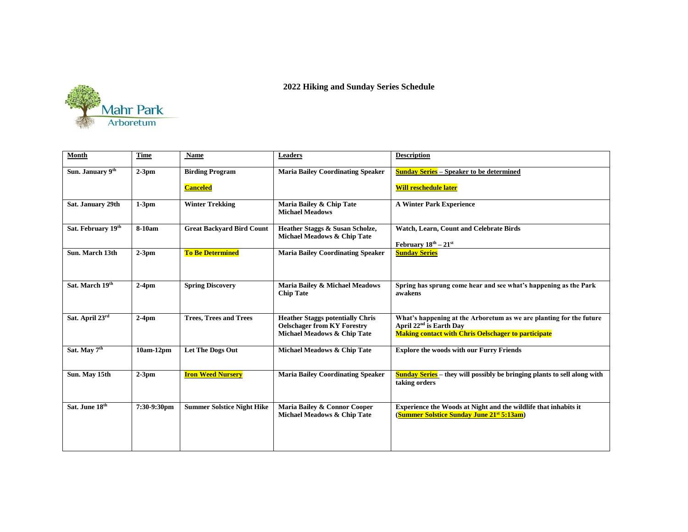

## **2022 Hiking and Sunday Series Schedule**

| Month                    | <b>Time</b> | <b>Name</b>                       | <b>Leaders</b>                                                                                               | <b>Description</b>                                                                                                                                                       |
|--------------------------|-------------|-----------------------------------|--------------------------------------------------------------------------------------------------------------|--------------------------------------------------------------------------------------------------------------------------------------------------------------------------|
| Sun. January 9th         | $2-3$ pm    | <b>Birding Program</b>            | <b>Maria Bailey Coordinating Speaker</b>                                                                     | <b>Sunday Series</b> – Speaker to be determined                                                                                                                          |
|                          |             | <b>Canceled</b>                   |                                                                                                              | <b>Will reschedule later</b>                                                                                                                                             |
| Sat. January 29th        | $1-3$ pm    | <b>Winter Trekking</b>            | Maria Bailey & Chip Tate<br><b>Michael Meadows</b>                                                           | <b>A Winter Park Experience</b>                                                                                                                                          |
| Sat. February 19th       | 8-10am      | <b>Great Backyard Bird Count</b>  | Heather Staggs & Susan Scholze,<br>Michael Meadows & Chip Tate                                               | Watch, Learn, Count and Celebrate Birds<br>February $18^{th} - 21^{st}$                                                                                                  |
| Sun. March 13th          | $2-3$ pm    | <b>To Be Determined</b>           | <b>Maria Bailey Coordinating Speaker</b>                                                                     | <b>Sunday Series</b>                                                                                                                                                     |
| Sat. March 19th          | $2-4$ pm    | <b>Spring Discovery</b>           | Maria Bailey & Michael Meadows<br><b>Chip Tate</b>                                                           | Spring has sprung come hear and see what's happening as the Park<br>awakens                                                                                              |
| Sat. April 23rd          | $2-4$ pm    | <b>Trees, Trees and Trees</b>     | <b>Heather Staggs potentially Chris</b><br><b>Oelschager from KY Forestry</b><br>Michael Meadows & Chip Tate | What's happening at the Arboretum as we are planting for the future<br>April 22 <sup>nd</sup> is Earth Day<br><b>Making contact with Chris Oelschager to participate</b> |
| Sat. May 7 <sup>th</sup> | 10am-12pm   | <b>Let The Dogs Out</b>           | Michael Meadows & Chip Tate                                                                                  | <b>Explore the woods with our Furry Friends</b>                                                                                                                          |
| Sun. May 15th            | $2-3$ pm    | <b>Iron Weed Nursery</b>          | <b>Maria Bailey Coordinating Speaker</b>                                                                     | <b>Sunday Series</b> – they will possibly be bringing plants to sell along with<br>taking orders                                                                         |
| Sat. June 18th           | 7:30-9:30pm | <b>Summer Solstice Night Hike</b> | Maria Bailey & Connor Cooper<br>Michael Meadows & Chip Tate                                                  | Experience the Woods at Night and the wildlife that inhabits it<br>(Summer Solstice Sunday June 21 <sup>st</sup> 5:13am)                                                 |